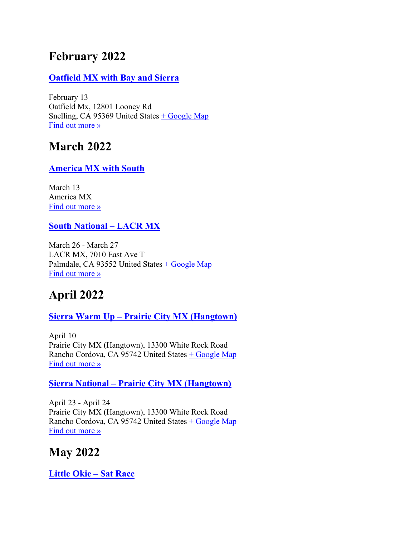# **February 2022**

#### **[Oatfield MX with Bay and Sierra](https://valleyothg.com/event/oatfield-mx-with-bay-and-sierra/)**

February 13 Oatfield Mx, 12801 Looney Rd Snelling, CA 95369 United States [+ Google Map](https://maps.google.com/maps?f=q&source=s_q&hl=en&geocode=&q=12801+Looney+Rd+Snelling+CA+95369+United+States) [Find out more »](https://valleyothg.com/event/oatfield-mx-with-bay-and-sierra/)

### **March 2022**

#### **[America MX with South](https://valleyothg.com/event/america-mx-with-south/)**

March 13 America MX [Find out more »](https://valleyothg.com/event/america-mx-with-south/)

### **[South National –](https://valleyothg.com/event/south-national-lacr-mx/) LACR MX**

March 26 - March 27 LACR MX, 7010 East Ave T Palmdale, CA 93552 United States [+ Google Map](https://maps.google.com/maps?f=q&source=s_q&hl=en&geocode=&q=7010+East+Ave+T+Palmdale+CA+93552+United+States) [Find out more »](https://valleyothg.com/event/south-national-lacr-mx/)

# **April 2022**

### **Sierra Warm Up – [Prairie City MX \(Hangtown\)](https://valleyothg.com/event/sierra-warm-up-prairie-city-mx-hangtown/)**

April 10 Prairie City MX (Hangtown), 13300 White Rock Road Rancho Cordova, CA 95742 United States [+ Google Map](https://maps.google.com/maps?f=q&source=s_q&hl=en&geocode=&q=13300+White+Rock+Road+Rancho+Cordova+CA+95742+United+States) [Find out more »](https://valleyothg.com/event/sierra-warm-up-prairie-city-mx-hangtown/)

#### **Sierra National – [Prairie City MX \(Hangtown\)](https://valleyothg.com/event/sierra-national-prairie-city-mx-hangtown/)**

April 23 - April 24 Prairie City MX (Hangtown), 13300 White Rock Road Rancho Cordova, CA 95742 United States [+ Google Map](https://maps.google.com/maps?f=q&source=s_q&hl=en&geocode=&q=13300+White+Rock+Road+Rancho+Cordova+CA+95742+United+States) [Find out more »](https://valleyothg.com/event/sierra-national-prairie-city-mx-hangtown/)

### **May 2022**

**[Little Okie –](https://valleyothg.com/event/little-okie-sat-race/) Sat Race**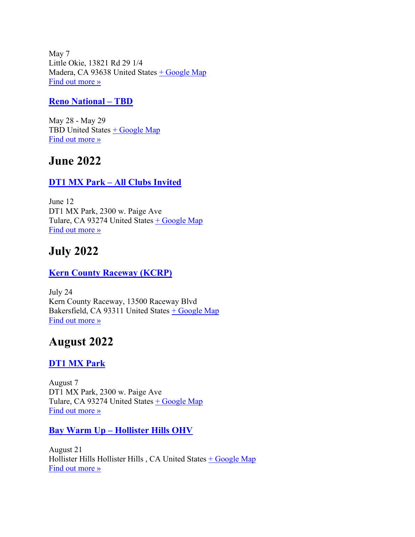May 7 Little Okie, 13821 Rd 29 1/4 Madera, CA 93638 United States [+ Google Map](https://maps.google.com/maps?f=q&source=s_q&hl=en&geocode=&q=13821+Rd+29+1%2F4+Madera+CA+93638+United+States) [Find out](https://valleyothg.com/event/little-okie-sat-race/) more »

#### **[Reno National –](https://valleyothg.com/event/reno-national-tbd/) TBD**

May 28 - May 29 TBD United States  $+$  Google Map [Find out more »](https://valleyothg.com/event/reno-national-tbd/)

## **June 2022**

### **DT1 MX Park – [All Clubs Invited](https://valleyothg.com/event/dt1-mx-park-all-clubs-invited/)**

June 12 DT1 MX Park, 2300 w. Paige Ave Tulare, CA 93274 United States [+ Google Map](https://maps.google.com/maps?f=q&source=s_q&hl=en&geocode=&q=2300+w.+Paige+Ave+Tulare+CA+93274+United+States) [Find out more »](https://valleyothg.com/event/dt1-mx-park-all-clubs-invited/)

## **July 2022**

### **[Kern County Raceway \(KCRP\)](https://valleyothg.com/event/kern-county-raceway-kcrp/)**

July 24 Kern County Raceway, 13500 Raceway Blvd Bakersfield, CA 93311 United States [+ Google Map](https://maps.google.com/maps?f=q&source=s_q&hl=en&geocode=&q=13500+Raceway+Blvd+Bakersfield+CA+93311+United+States) [Find out more »](https://valleyothg.com/event/kern-county-raceway-kcrp/)

## **August 2022**

### **[DT1 MX Park](https://valleyothg.com/event/dt1-mx-park-5/)**

August 7 DT1 MX Park, 2300 w. Paige Ave Tulare, CA 93274 United States  $\pm$  Google Map [Find out more »](https://valleyothg.com/event/dt1-mx-park-5/)

### **Bay Warm Up – [Hollister Hills OHV](https://valleyothg.com/event/bay-warm-up-hollister-hills-ohv/)**

August 21 Hollister Hills Hollister Hills, CA United States [+ Google Map](https://maps.google.com/maps?f=q&source=s_q&hl=en&geocode=&q=Hollister+Hills++CA+United+States) [Find out more »](https://valleyothg.com/event/bay-warm-up-hollister-hills-ohv/)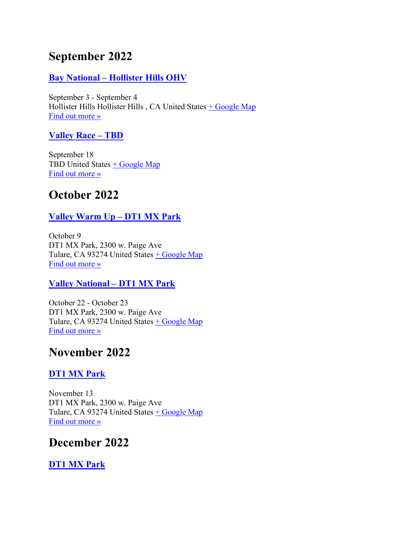## **September 2022**

#### **Bay National – [Hollister Hills OHV](https://valleyothg.com/event/bay-national-hollister-hills-ohv/)**

September 3 - September 4 Hollister Hills Hollister Hills, CA United States [+ Google Map](https://maps.google.com/maps?f=q&source=s_q&hl=en&geocode=&q=Hollister+Hills++CA+United+States) [Find out more »](https://valleyothg.com/event/bay-national-hollister-hills-ohv/)

#### **[Valley Race –](https://valleyothg.com/event/valley-race-tdb/) TBD**

September 18 TBD United States [+ Google Map](https://maps.google.com/maps?f=q&source=s_q&hl=en&geocode=&q=United+States) [Find out more »](https://valleyothg.com/event/valley-race-tdb/)

## **October 2022**

### **[Valley Warm Up –](https://valleyothg.com/event/valley-warm-up-dt1-mx-park/) DT1 MX Park**

October 9 DT1 MX Park, 2300 w. Paige Ave Tulare, CA 93274 United States  $+$  Google Map [Find out more »](https://valleyothg.com/event/valley-warm-up-dt1-mx-park/)

#### **[Valley National –](https://valleyothg.com/event/valley-national-dt1-mx-park-2/) DT1 MX Park**

October 22 - October 23 DT1 MX Park, 2300 w. Paige Ave Tulare, CA 93274 United States [+ Google Map](https://maps.google.com/maps?f=q&source=s_q&hl=en&geocode=&q=2300+w.+Paige+Ave+Tulare+CA+93274+United+States) [Find out more »](https://valleyothg.com/event/valley-national-dt1-mx-park-2/)

### **November 2022**

### **[DT1 MX Park](https://valleyothg.com/event/dt1-mx-park-6/)**

November 13 DT1 MX Park, 2300 w. Paige Ave Tulare, CA 93274 United States  $\pm$  Google Map [Find out more »](https://valleyothg.com/event/dt1-mx-park-6/)

### **December 2022**

**[DT1 MX Park](https://valleyothg.com/event/dt1-mx-park-7/)**